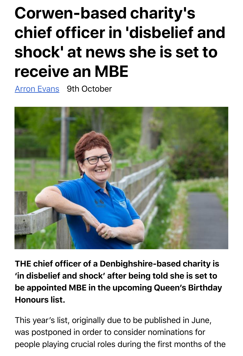## **Corwen-based charity's chief officer in 'disbelief and shock' at news she is set to receive an MBE**

**Arron Evans** 9th October



THE chief officer of a Denbighshire-based charity is 'in disbelief and shock' after being told she is set to be appointed MBE in the upcoming Queen's Birthday Honours list.

This year's list, originally due to be published in June, was postponed in order to consider nominations for people playing crucial roles during the first months of the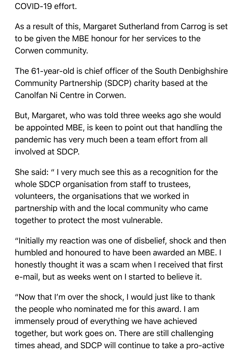COVID-19 effort.

As a result of this, Margaret Sutherland from Carrog is set to be given the MBE honour for her services to the Corwen community.

The 61-year-old is chief officer of the South Denbighshire Community Partnership (SDCP) charity based at the Canolfan Ni Centre in Corwen.

But, Margaret, who was told three weeks ago she would be appointed MBE, is keen to point out that handling the pandemic has very much been a team effort from all involved at SDCP.

She said: " I very much see this as a recognition for the whole SDCP organisation from staff to trustees, volunteers, the organisations that we worked in partnership with and the local community who came together to protect the most vulnerable.

"Initially my reaction was one of disbelief, shock and then humbled and honoured to have been awarded an MBE. I honestly thought it was a scam when I received that first e-mail, but as weeks went on I started to believe it.

"Now that I'm over the shock, I would just like to thank the people who nominated me for this award. I am immensely proud of everything we have achieved together, but work goes on. There are still challenging times ahead, and SDCP will continue to take a pro-active